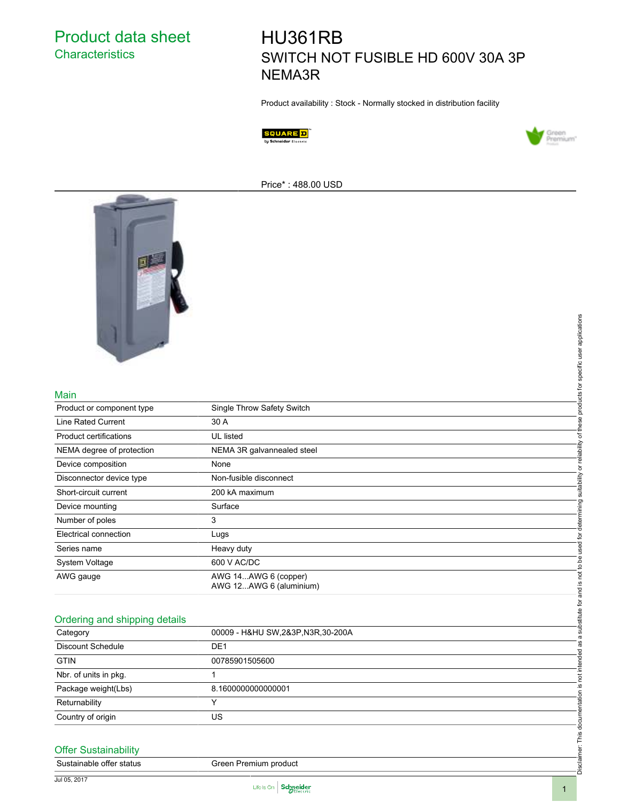Product data sheet **Characteristics** 

# HU361RB SWITCH NOT FUSIBLE HD 600V 30A 3P NEMA3R

Product availability : Stock - Normally stocked in distribution facility





Price\* : 488.00 USD



#### Main

|                               |                                                 | determining suitability or reliability of these products for specific user applications |
|-------------------------------|-------------------------------------------------|-----------------------------------------------------------------------------------------|
|                               |                                                 |                                                                                         |
|                               |                                                 |                                                                                         |
| Main                          |                                                 |                                                                                         |
| Product or component type     | Single Throw Safety Switch                      |                                                                                         |
| Line Rated Current            | 30 A                                            |                                                                                         |
| Product certifications        | UL listed                                       |                                                                                         |
| NEMA degree of protection     | NEMA 3R galvannealed steel                      |                                                                                         |
| Device composition            | None                                            |                                                                                         |
| Disconnector device type      | Non-fusible disconnect                          |                                                                                         |
| Short-circuit current         | 200 kA maximum                                  |                                                                                         |
| Device mounting               | Surface                                         |                                                                                         |
| Number of poles               | 3                                               |                                                                                         |
| Electrical connection         | Lugs                                            |                                                                                         |
| Series name                   | Heavy duty                                      |                                                                                         |
| System Voltage                | 600 V AC/DC                                     |                                                                                         |
| AWG gauge                     | AWG 14AWG 6 (copper)<br>AWG 12AWG 6 (aluminium) | substitute for and is not to be used for                                                |
|                               |                                                 |                                                                                         |
|                               |                                                 |                                                                                         |
| Ordering and shipping details |                                                 |                                                                                         |
| Category                      | 00009 - H&HU SW, 2&3P, N3R, 30-200A             |                                                                                         |
| Discount Schedule             | DE <sub>1</sub>                                 |                                                                                         |
| <b>GTIN</b>                   | 00785901505600                                  |                                                                                         |
| Nbr. of units in pkg.         | $\mathbf{1}$                                    | not intended as a                                                                       |
| Package weight(Lbs)           | 8.160000000000001                               |                                                                                         |
| Returnability                 | Y                                               |                                                                                         |
| Country of origin             | US                                              |                                                                                         |
|                               |                                                 |                                                                                         |
| <b>Offer Sustainability</b>   |                                                 | Disclaimer: This documentation is                                                       |
| Sustainable offer status      | Green Premium product                           |                                                                                         |
|                               |                                                 |                                                                                         |

## Ordering and shipping details

| Category                 | 00009 - H&HU SW, 2&3P, N3R, 30-200A |
|--------------------------|-------------------------------------|
| <b>Discount Schedule</b> | DE <sub>1</sub>                     |
| <b>GTIN</b>              | 00785901505600                      |
| Nbr. of units in pkg.    |                                     |
| Package weight(Lbs)      | 8.1600000000000001                  |
| Returnability            |                                     |
| Country of origin        | US                                  |

### Offer Sustainability